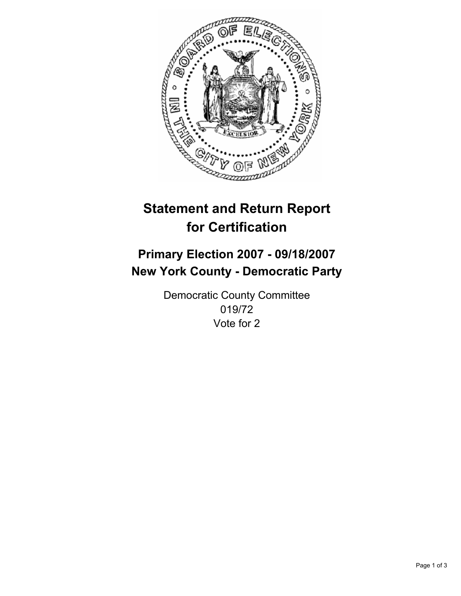

# **Statement and Return Report for Certification**

# **Primary Election 2007 - 09/18/2007 New York County - Democratic Party**

Democratic County Committee 019/72 Vote for 2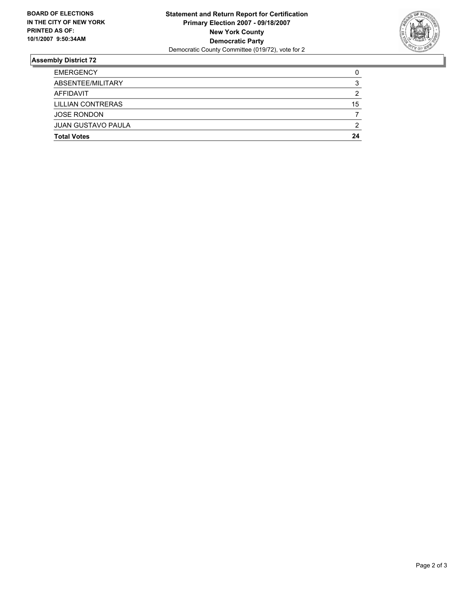

## **Assembly District 72**

| <b>EMERGENCY</b>          |    |
|---------------------------|----|
| ABSENTEE/MILITARY         | v  |
| AFFIDAVIT                 |    |
| <b>LILLIAN CONTRERAS</b>  | 15 |
| <b>JOSE RONDON</b>        |    |
| <b>JUAN GUSTAVO PAULA</b> | າ  |
| <b>Total Votes</b>        | 24 |